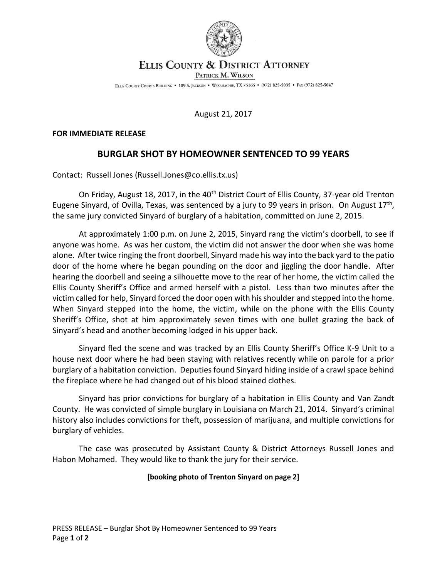

# **ELLIS COUNTY & DISTRICT ATTORNEY**

PATRICK M. WILSON

ELLIS COUNTY COURTS BUILDING . 109 S. JACKSON . WAXAHACHIE, TX 75165 . (972) 825-5035 . FAX (972) 825-5047

## August 21, 2017

#### **FOR IMMEDIATE RELEASE**

## **BURGLAR SHOT BY HOMEOWNER SENTENCED TO 99 YEARS**

Contact: Russell Jones (Russell.Jones@co.ellis.tx.us)

On Friday, August 18, 2017, in the 40<sup>th</sup> District Court of Ellis County, 37-year old Trenton Eugene Sinyard, of Ovilla, Texas, was sentenced by a jury to 99 years in prison. On August 17<sup>th</sup>, the same jury convicted Sinyard of burglary of a habitation, committed on June 2, 2015.

At approximately 1:00 p.m. on June 2, 2015, Sinyard rang the victim's doorbell, to see if anyone was home. As was her custom, the victim did not answer the door when she was home alone. After twice ringing the front doorbell, Sinyard made his way into the back yard to the patio door of the home where he began pounding on the door and jiggling the door handle. After hearing the doorbell and seeing a silhouette move to the rear of her home, the victim called the Ellis County Sheriff's Office and armed herself with a pistol. Less than two minutes after the victim called for help, Sinyard forced the door open with his shoulder and stepped into the home. When Sinyard stepped into the home, the victim, while on the phone with the Ellis County Sheriff's Office, shot at him approximately seven times with one bullet grazing the back of Sinyard's head and another becoming lodged in his upper back.

Sinyard fled the scene and was tracked by an Ellis County Sheriff's Office K-9 Unit to a house next door where he had been staying with relatives recently while on parole for a prior burglary of a habitation conviction. Deputies found Sinyard hiding inside of a crawl space behind the fireplace where he had changed out of his blood stained clothes.

Sinyard has prior convictions for burglary of a habitation in Ellis County and Van Zandt County. He was convicted of simple burglary in Louisiana on March 21, 2014. Sinyard's criminal history also includes convictions for theft, possession of marijuana, and multiple convictions for burglary of vehicles.

The case was prosecuted by Assistant County & District Attorneys Russell Jones and Habon Mohamed. They would like to thank the jury for their service.

## **[booking photo of Trenton Sinyard on page 2]**